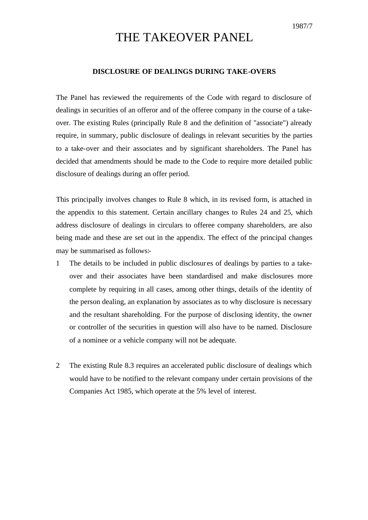# THE TAKEOVER PANEL

### **DISCLOSURE OF DEALINGS DURING TAKE-OVERS**

The Panel has reviewed the requirements of the Code with regard to disclosure of dealings in securities of an offeror and of the offeree company in the course of a takeover. The existing Rules (principally Rule 8 and the definition of "associate") already require, in summary, public disclosure of dealings in relevant securities by the parties to a take-over and their associates and by significant shareholders. The Panel has decided that amendments should be made to the Code to require more detailed public disclosure of dealings during an offer period.

This principally involves changes to Rule 8 which, in its revised form, is attached in the appendix to this statement. Certain ancillary changes to Rules 24 and 25, which address disclosure of dealings in circulars to offeree company shareholders, are also being made and these are set out in the appendix. The effect of the principal changes may be summarised as follows:-

- 1 The details to be included in public disclosur es of dealings by parties to a takeover and their associates have been standardised and make disclosures more complete by requiring in all cases, among other things, details of the identity of the person dealing, an explanation by associates as to why disclosure is necessary and the resultant shareholding. For the purpose of disclosing identity, the owner or controller of the securities in question will also have to be named. Disclosure of a nominee or a vehicle company will not be adequate.
- 2 The existing Rule 8.3 requires an accelerated public disclosure of dealings which would have to be notified to the relevant company under certain provisions of the Companies Act 1985, which operate at the 5% level of interest.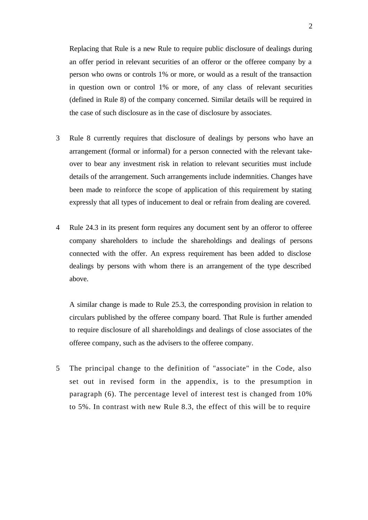Replacing that Rule is a new Rule to require public disclosure of dealings during an offer period in relevant securities of an offeror or the offeree company by a person who owns or controls 1% or more, or would as a result of the transaction in question own or control 1% or more, of any class of relevant securities (defined in Rule 8) of the company concerned. Similar details will be required in the case of such disclosure as in the case of disclosure by associates.

- 3 Rule 8 currently requires that disclosure of dealings by persons who have an arrangement (formal or informal) for a person connected with the relevant takeover to bear any investment risk in relation to relevant securities must include details of the arrangement. Such arrangements include indemnities. Changes have been made to reinforce the scope of application of this requirement by stating expressly that all types of inducement to deal or refrain from dealing are covered.
- 4 Rule 24.3 in its present form requires any document sent by an offeror to offeree company shareholders to include the shareholdings and dealings of persons connected with the offer. An express requirement has been added to disclose dealings by persons with whom there is an arrangement of the type described above.

A similar change is made to Rule 25.3, the corresponding provision in relation to circulars published by the offeree company board. That Rule is further amended to require disclosure of all shareholdings and dealings of close associates of the offeree company, such as the advisers to the offeree company.

5 The principal change to the definition of "associate" in the Code, also set out in revised form in the appendix, is to the presumption in paragraph (6). The percentage level of interest test is changed from 10% to 5%. In contrast with new Rule 8.3, the effect of this will be to require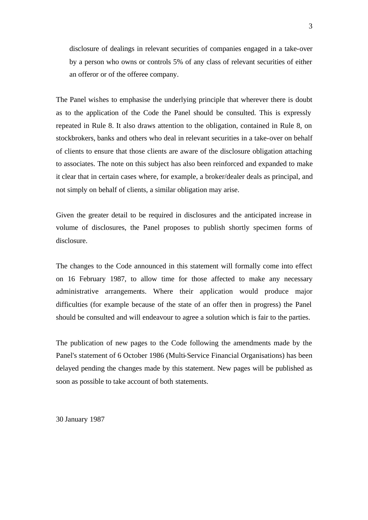disclosure of dealings in relevant securities of companies engaged in a take-over by a person who owns or controls 5% of any class of relevant securities of either an offeror or of the offeree company.

The Panel wishes to emphasise the underlying principle that wherever there is doubt as to the application of the Code the Panel should be consulted. This is expressly repeated in Rule 8. It also draws attention to the obligation, contained in Rule 8, on stockbrokers, banks and others who deal in relevant securities in a take-over on behalf of clients to ensure that those clients are aware of the disclosure obligation attaching to associates. The note on this subject has also been reinforced and expanded to make it clear that in certain cases where, for example, a broker/dealer deals as principal, and not simply on behalf of clients, a similar obligation may arise.

Given the greater detail to be required in disclosures and the anticipated increase in volume of disclosures, the Panel proposes to publish shortly specimen forms of disclosure.

The changes to the Code announced in this statement will formally come into effect on 16 February 1987, to allow time for those affected to make any necessary administrative arrangements. Where their application would produce major difficulties (for example because of the state of an offer then in progress) the Panel should be consulted and will endeavour to agree a solution which is fair to the parties.

The publication of new pages to the Code following the amendments made by the Panel's statement of 6 October 1986 (Multi-Service Financial Organisations) has been delayed pending the changes made by this statement. New pages will be published as soon as possible to take account of both statements.

30 January 1987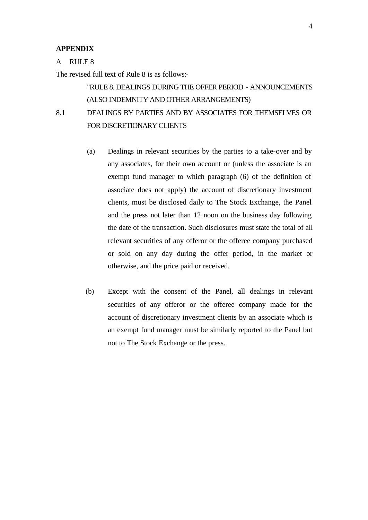#### **APPENDIX**

#### A RULE 8

The revised full text of Rule 8 is as follows:-

## "RULE 8. DEALINGS DURING THE OFFER PERIOD - ANNOUNCEMENTS (ALSO INDEMNITY AND OTHER ARRANGEMENTS)

## 8.1 DEALINGS BY PARTIES AND BY ASSOCIATES FOR THEMSELVES OR FOR DISCRETIONARY CLIENTS

- (a) Dealings in relevant securities by the parties to a take-over and by any associates, for their own account or (unless the associate is an exempt fund manager to which paragraph (6) of the definition of associate does not apply) the account of discretionary investment clients, must be disclosed daily to The Stock Exchange, the Panel and the press not later than 12 noon on the business day following the date of the transaction. Such disclosures must state the total of all relevant securities of any offeror or the offeree company purchased or sold on any day during the offer period, in the market or otherwise, and the price paid or received.
- (b) Except with the consent of the Panel, all dealings in relevant securities of any offeror or the offeree company made for the account of discretionary investment clients by an associate which is an exempt fund manager must be similarly reported to the Panel but not to The Stock Exchange or the press.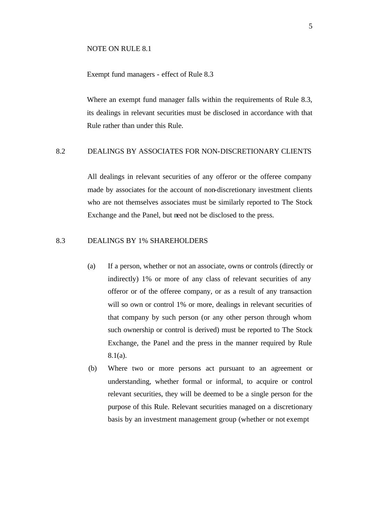#### NOTE ON RULE 8.1

## Exempt fund managers - effect of Rule 8.3

Where an exempt fund manager falls within the requirements of Rule 8.3, its dealings in relevant securities must be disclosed in accordance with that Rule rather than under this Rule.

#### 8.2 DEALINGS BY ASSOCIATES FOR NON-DISCRETIONARY CLIENTS

All dealings in relevant securities of any offeror or the offeree company made by associates for the account of non-discretionary investment clients who are not themselves associates must be similarly reported to The Stock Exchange and the Panel, but need not be disclosed to the press.

## 8.3 DEALINGS BY 1% SHAREHOLDERS

- (a) If a person, whether or not an associate, owns or controls (directly or indirectly) 1% or more of any class of relevant securities of any offeror or of the offeree company, or as a result of any transaction will so own or control 1% or more, dealings in relevant securities of that company by such person (or any other person through whom such ownership or control is derived) must be reported to The Stock Exchange, the Panel and the press in the manner required by Rule 8.1(a).
- (b) Where two or more persons act pursuant to an agreement or understanding, whether formal or informal, to acquire or control relevant securities, they will be deemed to be a single person for the purpose of this Rule. Relevant securities managed on a discretionary basis by an investment management group (whether or not exempt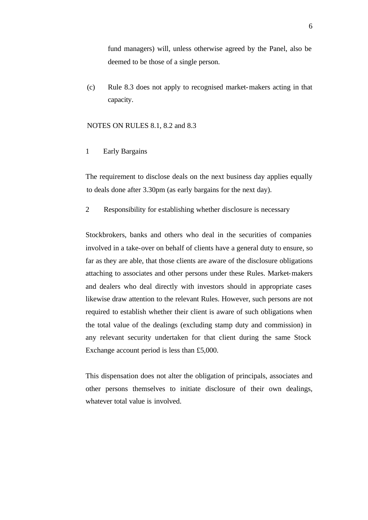fund managers) will, unless otherwise agreed by the Panel, also be deemed to be those of a single person.

(c) Rule 8.3 does not apply to recognised market-makers acting in that capacity.

#### NOTES ON RULES 8.1, 8.2 and 8.3

1 Early Bargains

The requirement to disclose deals on the next business day applies equally to deals done after 3.30pm (as early bargains for the next day).

2 Responsibility for establishing whether disclosure is necessary

Stockbrokers, banks and others who deal in the securities of companies involved in a take-over on behalf of clients have a general duty to ensure, so far as they are able, that those clients are aware of the disclosure obligations attaching to associates and other persons under these Rules. Market-makers and dealers who deal directly with investors should in appropriate cases likewise draw attention to the relevant Rules. However, such persons are not required to establish whether their client is aware of such obligations when the total value of the dealings (excluding stamp duty and commission) in any relevant security undertaken for that client during the same Stock Exchange account period is less than £5,000.

This dispensation does not alter the obligation of principals, associates and other persons themselves to initiate disclosure of their own dealings, whatever total value is involved.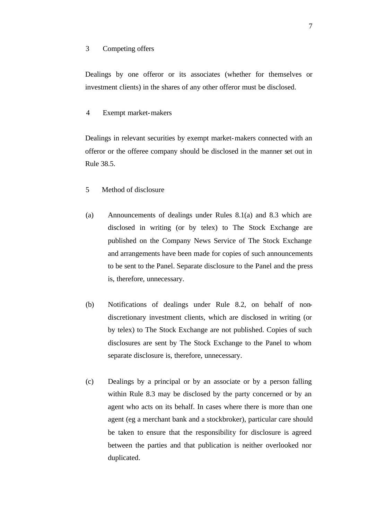#### 3 Competing offers

Dealings by one offeror or its associates (whether for themselves or investment clients) in the shares of any other offeror must be disclosed.

4 Exempt market-makers

Dealings in relevant securities by exempt market-makers connected with an offeror or the offeree company should be disclosed in the manner set out in Rule 38.5.

- 5 Method of disclosure
- (a) Announcements of dealings under Rules 8.1(a) and 8.3 which are disclosed in writing (or by telex) to The Stock Exchange are published on the Company News Service of The Stock Exchange and arrangements have been made for copies of such announcements to be sent to the Panel. Separate disclosure to the Panel and the press is, therefore, unnecessary.
- (b) Notifications of dealings under Rule 8.2, on behalf of nondiscretionary investment clients, which are disclosed in writing (or by telex) to The Stock Exchange are not published. Copies of such disclosures are sent by The Stock Exchange to the Panel to whom separate disclosure is, therefore, unnecessary.
- (c) Dealings by a principal or by an associate or by a person falling within Rule 8.3 may be disclosed by the party concerned or by an agent who acts on its behalf. In cases where there is more than one agent (eg a merchant bank and a stockbroker), particular care should be taken to ensure that the responsibility for disclosure is agreed between the parties and that publication is neither overlooked nor duplicated.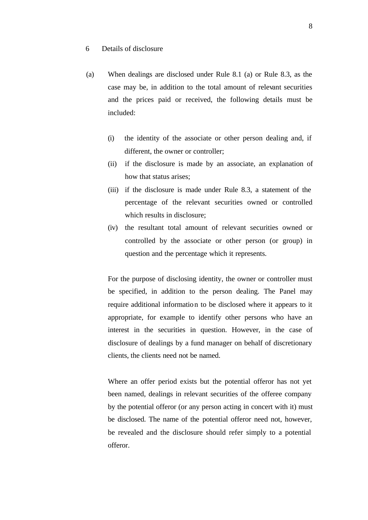- 6 Details of disclosure
- (a) When dealings are disclosed under Rule 8.1 (a) or Rule 8.3, as the case may be, in addition to the total amount of relevant securities and the prices paid or received, the following details must be included:
	- (i) the identity of the associate or other person dealing and, if different, the owner or controller;
	- (ii) if the disclosure is made by an associate, an explanation of how that status arises;
	- (iii) if the disclosure is made under Rule 8.3, a statement of the percentage of the relevant securities owned or controlled which results in disclosure;
	- (iv) the resultant total amount of relevant securities owned or controlled by the associate or other person (or group) in question and the percentage which it represents.

For the purpose of disclosing identity, the owner or controller must be specified, in addition to the person dealing. The Panel may require additional information to be disclosed where it appears to it appropriate, for example to identify other persons who have an interest in the securities in question. However, in the case of disclosure of dealings by a fund manager on behalf of discretionary clients, the clients need not be named.

Where an offer period exists but the potential offeror has not yet been named, dealings in relevant securities of the offeree company by the potential offeror (or any person acting in concert with it) must be disclosed. The name of the potential offeror need not, however, be revealed and the disclosure should refer simply to a potential offeror.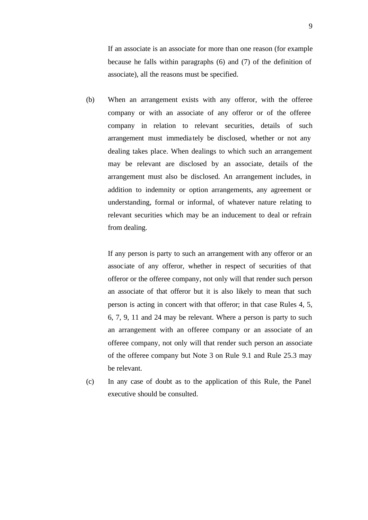If an associate is an associate for more than one reason (for example because he falls within paragraphs (6) and (7) of the definition of associate), all the reasons must be specified.

(b) When an arrangement exists with any offeror, with the offeree company or with an associate of any offeror or of the offeree company in relation to relevant securities, details of such arrangement must immedia tely be disclosed, whether or not any dealing takes place. When dealings to which such an arrangement may be relevant are disclosed by an associate, details of the arrangement must also be disclosed. An arrangement includes, in addition to indemnity or option arrangements, any agreement or understanding, formal or informal, of whatever nature relating to relevant securities which may be an inducement to deal or refrain from dealing.

If any person is party to such an arrangement with any offeror or an associate of any offeror, whether in respect of securities of that offeror or the offeree company, not only will that render such person an associate of that offeror but it is also likely to mean that such person is acting in concert with that offeror; in that case Rules 4, 5, 6, 7, 9, 11 and 24 may be relevant. Where a person is party to such an arrangement with an offeree company or an associate of an offeree company, not only will that render such person an associate of the offeree company but Note 3 on Rule 9.1 and Rule 25.3 may be relevant.

(c) In any case of doubt as to the application of this Rule, the Panel executive should be consulted.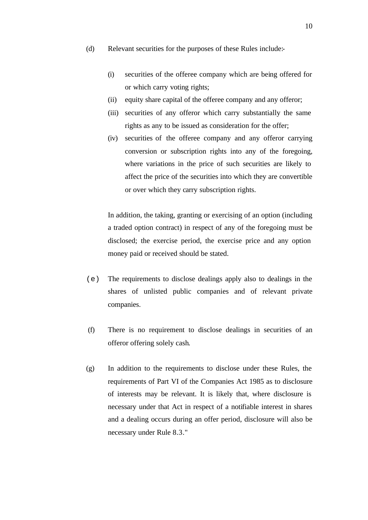- (d) Relevant securities for the purposes of these Rules include:-
	- (i) securities of the offeree company which are being offered for or which carry voting rights;
	- (ii) equity share capital of the offeree company and any offeror;
	- (iii) securities of any offeror which carry substantially the same rights as any to be issued as consideration for the offer;
	- (iv) securities of the offeree company and any offeror carrying conversion or subscription rights into any of the foregoing, where variations in the price of such securities are likely to affect the price of the securities into which they are convertible or over which they carry subscription rights.

In addition, the taking, granting or exercising of an option (including a traded option contract) in respect of any of the foregoing must be disclosed; the exercise period, the exercise price and any option money paid or received should be stated.

- (e) The requirements to disclose dealings apply also to dealings in the shares of unlisted public companies and of relevant private companies.
- (f) There is no requirement to disclose dealings in securities of an offeror offering solely cash.
- (g) In addition to the requirements to disclose under these Rules, the requirements of Part VI of the Companies Act 1985 as to disclosure of interests may be relevant. It is likely that, where disclosure is necessary under that Act in respect of a notifiable interest in shares and a dealing occurs during an offer period, disclosure will also be necessary under Rule 8.3."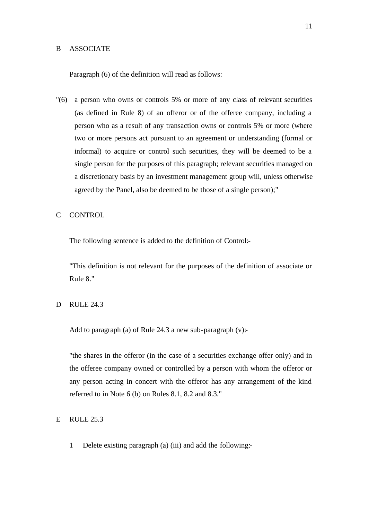#### B ASSOCIATE

Paragraph (6) of the definition will read as follows:

- "(6) a person who owns or controls 5% or more of any class of relevant securities (as defined in Rule 8) of an offeror or of the offeree company, including a person who as a result of any transaction owns or controls 5% or more (where two or more persons act pursuant to an agreement or understanding (formal or informal) to acquire or control such securities, they will be deemed to be a single person for the purposes of this paragraph; relevant securities managed on a discretionary basis by an investment management group will, unless otherwise agreed by the Panel, also be deemed to be those of a single person);"
- C CONTROL

The following sentence is added to the definition of Control:-

"This definition is not relevant for the purposes of the definition of associate or Rule 8."

D RULE 24.3

Add to paragraph (a) of Rule 24.3 a new sub-paragraph  $(v)$ :-

"the shares in the offeror (in the case of a securities exchange offer only) and in the offeree company owned or controlled by a person with whom the offeror or any person acting in concert with the offeror has any arrangement of the kind referred to in Note 6 (b) on Rules 8.1, 8.2 and 8.3."

## E RULE 25.3

1 Delete existing paragraph (a) (iii) and add the following:-